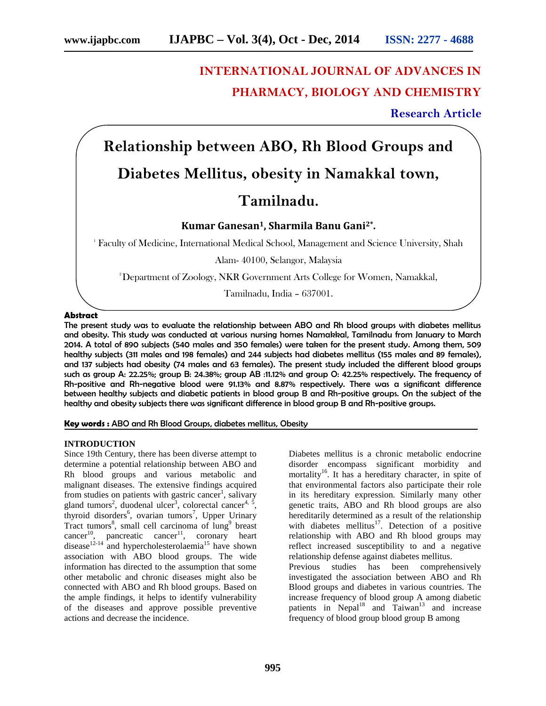# **INTERNATIONAL JOURNAL OF ADVANCES IN PHARMACY, BIOLOGY AND CHEMISTRY**

**Research Article**

**Relationship between ABO, Rh Blood Groups and**

## **Diabetes Mellitus, obesity in Namakkal town,**

### **Tamilnadu.**

### **Kumar Ganesan1, Sharmila Banu Gani2\* .**

<sup>1</sup> Faculty of Medicine, International Medical School, Management and Science University, Shah

Alam- 40100, Selangor, Malaysia

<sup>2</sup>Department of Zoology, NKR Government Arts College for Women, Namakkal,

Tamilnadu, India – 637001.

#### **Abstract**

The present study was to evaluate the relationship between ABO and Rh blood groups with diabetes mellitus and obesity. This study was conducted at various nursing homes Namakkal, Tamilnadu from January to March 2014. A total of 890 subjects (540 males and 350 females) were taken for the present study. Among them, 509 healthy subjects (311 males and 198 females) and 244 subjects had diabetes mellitus (155 males and 89 females), and 137 subjects had obesity (74 males and 63 females). The present study included the different blood groups such as group A: 22.25%; group B: 24.38%; group AB :11.12% and group O: 42.25% respectively. The frequency of Rh-positive and Rh-negative blood were 91.13% and 8.87% respectively. There was a significant difference between healthy subjects and diabetic patients in blood group B and Rh-positive groups. On the subject of the healthy and obesity subjects there was significant difference in blood group B and Rh-positive groups.

**Key words :** ABO and Rh Blood Groups, diabetes mellitus, Obesity

#### **INTRODUCTION**

Since 19th Century, there has been diverse attempt to determine a potential relationship between ABO and Rh blood groups and various metabolic and malignant diseases. The extensive findings acquired from studies on patients with gastric cancer<sup>1</sup>, salivary gland tumors<sup>2</sup>, duodenal ulcer<sup>3</sup>, colorectal cancer<sup>4, 5</sup>, thyroid disorders<sup>6</sup>, ovarian tumors<sup>7</sup>, Upper Urinary Tract tumors<sup>8</sup>, small cell carcinoma of lung<sup>9</sup> breast  $cancer<sup>10</sup>$ , pancreatic cancer<sup>11</sup>, coronary heart disease<sup>12-14</sup> and hypercholesterolaemia<sup>15</sup> have shown association with ABO blood groups. The wide information has directed to the assumption that some other metabolic and chronic diseases might also be connected with ABO and Rh blood groups. Based on the ample findings, it helps to identify vulnerability of the diseases and approve possible preventive actions and decrease the incidence.

Diabetes mellitus is a chronic metabolic endocrine disorder encompass significant morbidity and mortality<sup>16</sup>. It has a hereditary character, in spite of that environmental factors also participate their role in its hereditary expression. Similarly many other genetic traits, ABO and Rh blood groups are also hereditarily determined as a result of the relationship with diabetes mellitus<sup>17</sup>. Detection of a positive relationship with ABO and Rh blood groups may reflect increased susceptibility to and a negative relationship defense against diabetes mellitus. Previous studies has been comprehensively investigated the association between ABO and Rh Blood groups and diabetes in various countries. The increase frequency of blood group A among diabetic patients in  $Nepal<sup>18</sup>$  and Taiwan<sup>13</sup> and increase frequency of blood group blood group B among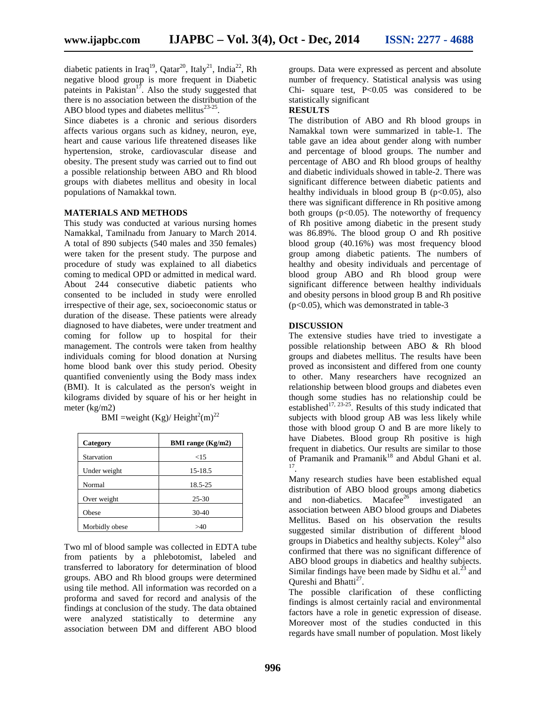diabetic patients in Iraq<sup>19</sup>, Qatar<sup>20</sup>, Italy<sup>21</sup>, India<sup>22</sup>, Rh negative blood group is more frequent in Diabetic pateints in Pakistan<sup>17</sup>. Also the study suggested that there is no association between the distribution of the ABO blood types and diabetes mellitus $^{23-25}$ .

Since diabetes is a chronic and serious disorders affects various organs such as kidney, neuron, eye, heart and cause various life threatened diseases like hypertension, stroke, cardiovascular disease and obesity. The present study was carried out to find out a possible relationship between ABO and Rh blood groups with diabetes mellitus and obesity in local populations of Namakkal town.

#### **MATERIALS AND METHODS**

This study was conducted at various nursing homes Namakkal, Tamilnadu from January to March 2014. A total of 890 subjects (540 males and 350 females) were taken for the present study. The purpose and procedure of study was explained to all diabetics coming to medical OPD or admitted in medical ward. About 244 consecutive diabetic patients who consented to be included in study were enrolled irrespective of their age, sex, socioeconomic status or duration of the disease. These patients were already diagnosed to have diabetes, were under treatment and coming for follow up to hospital for their management. The controls were taken from healthy individuals coming for blood donation at Nursing home blood bank over this study period. Obesity quantified conveniently using the Body mass index (BMI). It is calculated as the person's weight in kilograms divided by square of his or her height in meter (kg/m2)

| Category       | <b>BMI</b> range $(Kg/m2)$ |
|----------------|----------------------------|
| Starvation     | ${<}15$                    |
| Under weight   | 15-18.5                    |
| Normal         | 18.5-25                    |
| Over weight    | $25 - 30$                  |
| Obese          | $30-40$                    |
| Morbidly obese | >40                        |

BMI =weight (Kg)/ Height<sup>2</sup>(m)<sup>22</sup>

Two ml of blood sample was collected in EDTA tube from patients by a phlebotomist, labeled and transferred to laboratory for determination of blood groups. ABO and Rh blood groups were determined using tile method. All information was recorded on a proforma and saved for record and analysis of the findings at conclusion of the study. The data obtained were analyzed statistically to determine any association between DM and different ABO blood groups. Data were expressed as percent and absolute number of frequency. Statistical analysis was using Chi- square test,  $P<0.05$  was considered to be statistically significant

#### **RESULTS**

The distribution of ABO and Rh blood groups in Namakkal town were summarized in table-1. The table gave an idea about gender along with number and percentage of blood groups. The number and percentage of ABO and Rh blood groups of healthy and diabetic individuals showed in table-2. There was significant difference between diabetic patients and healthy individuals in blood group B ( $p<0.05$ ), also there was significant difference in Rh positive among both groups ( $p<0.05$ ). The noteworthy of frequency of Rh positive among diabetic in the present study was 86.89%. The blood group O and Rh positive blood group (40.16%) was most frequency blood group among diabetic patients. The numbers of healthy and obesity individuals and percentage of blood group ABO and Rh blood group were significant difference between healthy individuals and obesity persons in blood group B and Rh positive (p<0.05), which was demonstrated in table-3

#### **DISCUSSION**

The extensive studies have tried to investigate a possible relationship between ABO & Rh blood groups and diabetes mellitus. The results have been proved as inconsistent and differed from one county to other. Many researchers have recognized an relationship between blood groups and diabetes even though some studies has no relationship could be established<sup>17, 23-25</sup>. Results of this study indicated that subjects with blood group AB was less likely while those with blood group O and B are more likely to have Diabetes. Blood group Rh positive is high frequent in diabetics. Our results are similar to those of Pramanik and Pramanik<sup>18</sup> and Abdul Ghani et al. .

Many research studies have been established equal distribution of ABO blood groups among diabetics and non-diabetics. Macafee<sup>26</sup> investigated an association between ABO blood groups and Diabetes Mellitus. Based on his observation the results suggested similar distribution of different blood groups in Diabetics and healthy subjects. Koley<sup>24</sup> also confirmed that there was no significant difference of ABO blood groups in diabetics and healthy subjects. Similar findings have been made by Sidhu et al.<sup>23</sup> and Qureshi and Bhatti<sup>27</sup>.

The possible clarification of these conflicting findings is almost certainly racial and environmental factors have a role in genetic expression of disease. Moreover most of the studies conducted in this regards have small number of population. Most likely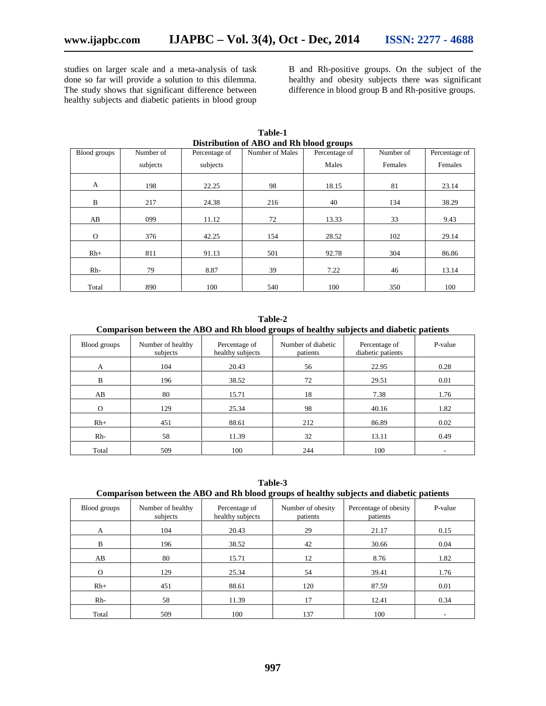studies on larger scale and a meta-analysis of task done so far will provide a solution to this dilemma. The study shows that significant difference between healthy subjects and diabetic patients in blood group

B and Rh-positive groups. On the subject of the healthy and obesity subjects there was significant difference in blood group B and Rh-positive groups.

| Distribution of ABO and Rh blood groups |           |               |                 |               |           |               |  |
|-----------------------------------------|-----------|---------------|-----------------|---------------|-----------|---------------|--|
| Blood groups                            | Number of | Percentage of | Number of Males | Percentage of | Number of | Percentage of |  |
|                                         | subjects  | subjects      |                 | Males         | Females   | Females       |  |
| A                                       | 198       | 22.25         | 98              | 18.15         | 81        | 23.14         |  |
| B                                       | 217       | 24.38         | 216             | 40            | 134       | 38.29         |  |
| AB                                      | 099       | 11.12         | 72              | 13.33         | 33        | 9.43          |  |
| $\mathbf{O}$                            | 376       | 42.25         | 154             | 28.52         | 102       | 29.14         |  |
| $Rh+$                                   | 811       | 91.13         | 501             | 92.78         | 304       | 86.86         |  |
| Rh-                                     | 79        | 8.87          | 39              | 7.22          | 46        | 13.14         |  |
| Total                                   | 890       | 100           | 540             | 100           | 350       | 100           |  |

**Table-1**

| Table-2 |  |
|---------|--|
|---------|--|

**Comparison between the ABO and Rh blood groups of healthy subjects and diabetic patients**

| Blood groups | Number of healthy<br>subjects | Percentage of<br>healthy subjects | Number of diabetic<br>patients | Percentage of<br>diabetic patients | P-value |
|--------------|-------------------------------|-----------------------------------|--------------------------------|------------------------------------|---------|
| A            | 104                           | 20.43                             | 56                             | 22.95                              | 0.28    |
| B            | 196                           | 38.52                             | 72                             | 29.51                              | 0.01    |
| AB           | 80                            | 15.71                             | 18                             | 7.38                               | 1.76    |
| $\Omega$     | 129                           | 25.34                             | 98                             | 40.16                              | 1.82    |
| $Rh+$        | 451                           | 88.61                             | 212                            | 86.89                              | 0.02    |
| $Rh-$        | 58                            | 11.39                             | 32                             | 13.11                              | 0.49    |
| Total        | 509                           | 100                               | 244                            | 100                                | -       |

**Table-3 Comparison between the ABO and Rh blood groups of healthy subjects and diabetic patients**

| Blood groups | Number of healthy<br>subjects | Percentage of<br>healthy subjects | Number of obesity<br>patients | Percentage of obesity<br>patients | P-value |
|--------------|-------------------------------|-----------------------------------|-------------------------------|-----------------------------------|---------|
| A            | 104                           | 20.43                             | 29                            | 21.17                             | 0.15    |
| B            | 196                           | 38.52                             | 42                            | 30.66                             | 0.04    |
| AB           | 80                            | 15.71                             | 12                            | 8.76                              | 1.82    |
| $\Omega$     | 129                           | 25.34                             | 54                            | 39.41                             | 1.76    |
| $Rh+$        | 451                           | 88.61                             | 120                           | 87.59                             | 0.01    |
| $Rh-$        | 58                            | 11.39                             | 17                            | 12.41                             | 0.34    |
| Total        | 509                           | 100                               | 137                           | 100                               |         |